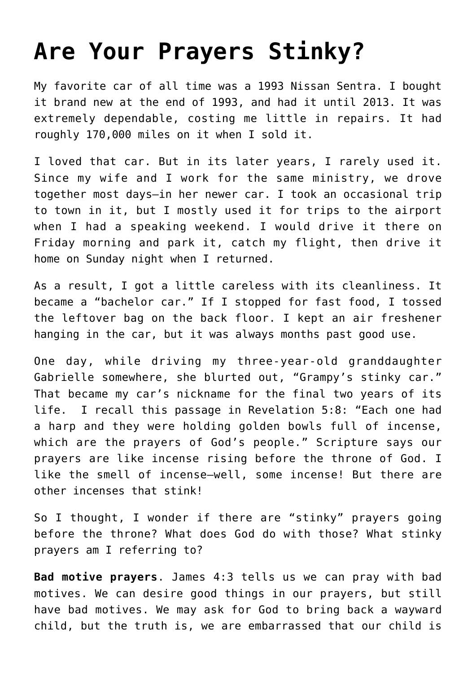## **[Are Your Prayers Stinky?](https://www.prayerleader.com/are-your-prayers-stinky/)**

My favorite car of all time was a 1993 Nissan Sentra. I bought it brand new at the end of 1993, and had it until 2013. It was extremely dependable, costing me little in repairs. It had roughly 170,000 miles on it when I sold it.

I loved that car. But in its later years, I rarely used it. Since my wife and I work for the same ministry, we drove together most days—in her newer car. I took an occasional trip to town in it, but I mostly used it for trips to the airport when I had a speaking weekend. I would drive it there on Friday morning and park it, catch my flight, then drive it home on Sunday night when I returned.

As a result, I got a little careless with its cleanliness. It became a "bachelor car." If I stopped for fast food, I tossed the leftover bag on the back floor. I kept an air freshener hanging in the car, but it was always months past good use.

One day, while driving my three-year-old granddaughter Gabrielle somewhere, she blurted out, "Grampy's stinky car." That became my car's nickname for the final two years of its life. I recall this passage in Revelation 5:8: "Each one had a harp and they were holding golden bowls full of incense, which are the prayers of God's people." Scripture says our prayers are like incense rising before the throne of God. I like the smell of incense—well, some incense! But there are other incenses that stink!

So I thought, I wonder if there are "stinky" prayers going before the throne? What does God do with those? What stinky prayers am I referring to?

**Bad motive prayers**. James 4:3 tells us we can pray with bad motives. We can desire good things in our prayers, but still have bad motives. We may ask for God to bring back a wayward child, but the truth is, we are embarrassed that our child is